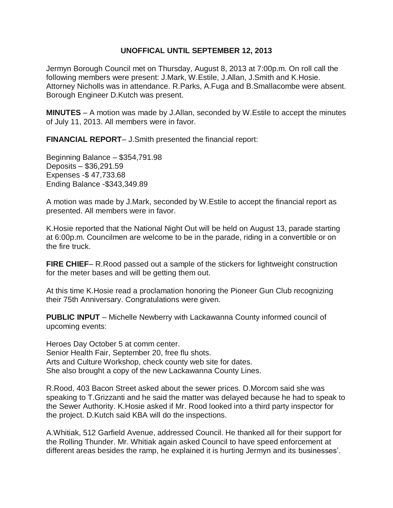## **UNOFFICAL UNTIL SEPTEMBER 12, 2013**

Jermyn Borough Council met on Thursday, August 8, 2013 at 7:00p.m. On roll call the following members were present: J.Mark, W.Estile, J.Allan, J.Smith and K.Hosie. Attorney Nicholls was in attendance. R.Parks, A.Fuga and B.Smallacombe were absent. Borough Engineer D.Kutch was present.

**MINUTES** – A motion was made by J.Allan, seconded by W.Estile to accept the minutes of July 11, 2013. All members were in favor.

**FINANCIAL REPORT**– J.Smith presented the financial report:

Beginning Balance – \$354,791.98 Deposits – \$36,291.59 Expenses -\$ 47,733.68 Ending Balance -\$343,349.89

A motion was made by J.Mark, seconded by W.Estile to accept the financial report as presented. All members were in favor.

K.Hosie reported that the National Night Out will be held on August 13, parade starting at 6:00p.m. Councilmen are welcome to be in the parade, riding in a convertible or on the fire truck.

**FIRE CHIEF**– R.Rood passed out a sample of the stickers for lightweight construction for the meter bases and will be getting them out.

At this time K.Hosie read a proclamation honoring the Pioneer Gun Club recognizing their 75th Anniversary. Congratulations were given.

**PUBLIC INPUT** – Michelle Newberry with Lackawanna County informed council of upcoming events:

Heroes Day October 5 at comm center. Senior Health Fair, September 20, free flu shots. Arts and Culture Workshop, check county web site for dates. She also brought a copy of the new Lackawanna County Lines.

R.Rood, 403 Bacon Street asked about the sewer prices. D.Morcom said she was speaking to T.Grizzanti and he said the matter was delayed because he had to speak to the Sewer Authority. K.Hosie asked if Mr. Rood looked into a third party inspector for the project. D.Kutch said KBA will do the inspections.

A.Whitiak, 512 Garfield Avenue, addressed Council. He thanked all for their support for the Rolling Thunder. Mr. Whitiak again asked Council to have speed enforcement at different areas besides the ramp, he explained it is hurting Jermyn and its businesses'.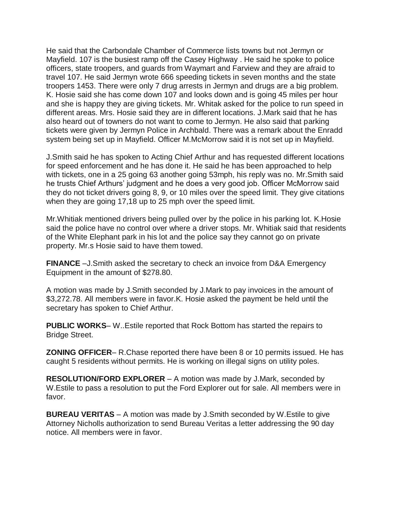He said that the Carbondale Chamber of Commerce lists towns but not Jermyn or Mayfield. 107 is the busiest ramp off the Casey Highway . He said he spoke to police officers, state troopers, and guards from Waymart and Farview and they are afraid to travel 107. He said Jermyn wrote 666 speeding tickets in seven months and the state troopers 1453. There were only 7 drug arrests in Jermyn and drugs are a big problem. K. Hosie said she has come down 107 and looks down and is going 45 miles per hour and she is happy they are giving tickets. Mr. Whitak asked for the police to run speed in different areas. Mrs. Hosie said they are in different locations. J.Mark said that he has also heard out of towners do not want to come to Jermyn. He also said that parking tickets were given by Jermyn Police in Archbald. There was a remark about the Enradd system being set up in Mayfield. Officer M.McMorrow said it is not set up in Mayfield.

J.Smith said he has spoken to Acting Chief Arthur and has requested different locations for speed enforcement and he has done it. He said he has been approached to help with tickets, one in a 25 going 63 another going 53mph, his reply was no. Mr.Smith said he trusts Chief Arthurs' judgment and he does a very good job. Officer McMorrow said they do not ticket drivers going 8, 9, or 10 miles over the speed limit. They give citations when they are going 17,18 up to 25 mph over the speed limit.

Mr.Whitiak mentioned drivers being pulled over by the police in his parking lot. K.Hosie said the police have no control over where a driver stops. Mr. Whitiak said that residents of the White Elephant park in his lot and the police say they cannot go on private property. Mr.s Hosie said to have them towed.

**FINANCE** –J. Smith asked the secretary to check an invoice from D&A Emergency Equipment in the amount of \$278.80.

A motion was made by J.Smith seconded by J.Mark to pay invoices in the amount of \$3,272.78. All members were in favor.K. Hosie asked the payment be held until the secretary has spoken to Chief Arthur.

**PUBLIC WORKS**– W..Estile reported that Rock Bottom has started the repairs to Bridge Street.

**ZONING OFFICER**– R.Chase reported there have been 8 or 10 permits issued. He has caught 5 residents without permits. He is working on illegal signs on utility poles.

**RESOLUTION/FORD EXPLORER** – A motion was made by J.Mark, seconded by W.Estile to pass a resolution to put the Ford Explorer out for sale. All members were in favor.

**BUREAU VERITAS** – A motion was made by J.Smith seconded by W.Estile to give Attorney Nicholls authorization to send Bureau Veritas a letter addressing the 90 day notice. All members were in favor.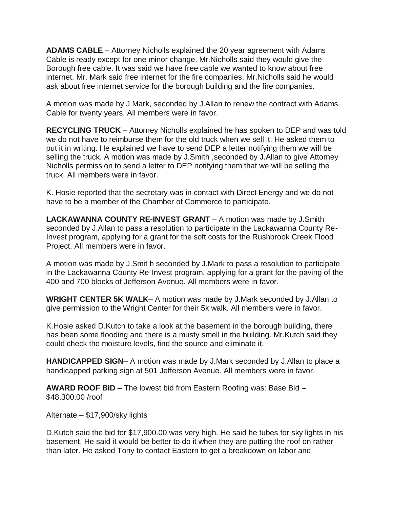**ADAMS CABLE** – Attorney Nicholls explained the 20 year agreement with Adams Cable is ready except for one minor change. Mr.Nicholls said they would give the Borough free cable. It was said we have free cable we wanted to know about free internet. Mr. Mark said free internet for the fire companies. Mr.Nicholls said he would ask about free internet service for the borough building and the fire companies.

A motion was made by J.Mark, seconded by J.Allan to renew the contract with Adams Cable for twenty years. All members were in favor.

**RECYCLING TRUCK** – Attorney Nicholls explained he has spoken to DEP and was told we do not have to reimburse them for the old truck when we sell it. He asked them to put it in writing. He explained we have to send DEP a letter notifying them we will be selling the truck. A motion was made by J.Smith ,seconded by J.Allan to give Attorney Nicholls permission to send a letter to DEP notifying them that we will be selling the truck. All members were in favor.

K. Hosie reported that the secretary was in contact with Direct Energy and we do not have to be a member of the Chamber of Commerce to participate.

**LACKAWANNA COUNTY RE-INVEST GRANT** – A motion was made by J.Smith seconded by J.Allan to pass a resolution to participate in the Lackawanna County Re-Invest program, applying for a grant for the soft costs for the Rushbrook Creek Flood Project. All members were in favor.

A motion was made by J.Smit h seconded by J.Mark to pass a resolution to participate in the Lackawanna County Re-Invest program. applying for a grant for the paving of the 400 and 700 blocks of Jefferson Avenue. All members were in favor.

**WRIGHT CENTER 5K WALK**– A motion was made by J.Mark seconded by J.Allan to give permission to the Wright Center for their 5k walk. All members were in favor.

K.Hosie asked D.Kutch to take a look at the basement in the borough building, there has been some flooding and there is a musty smell in the building. Mr.Kutch said they could check the moisture levels, find the source and eliminate it.

**HANDICAPPED SIGN**– A motion was made by J.Mark seconded by J.Allan to place a handicapped parking sign at 501 Jefferson Avenue. All members were in favor.

**AWARD ROOF BID** – The lowest bid from Eastern Roofing was: Base Bid – \$48,300.00 /roof

Alternate – \$17,900/sky lights

D.Kutch said the bid for \$17,900.00 was very high. He said he tubes for sky lights in his basement. He said it would be better to do it when they are putting the roof on rather than later. He asked Tony to contact Eastern to get a breakdown on labor and